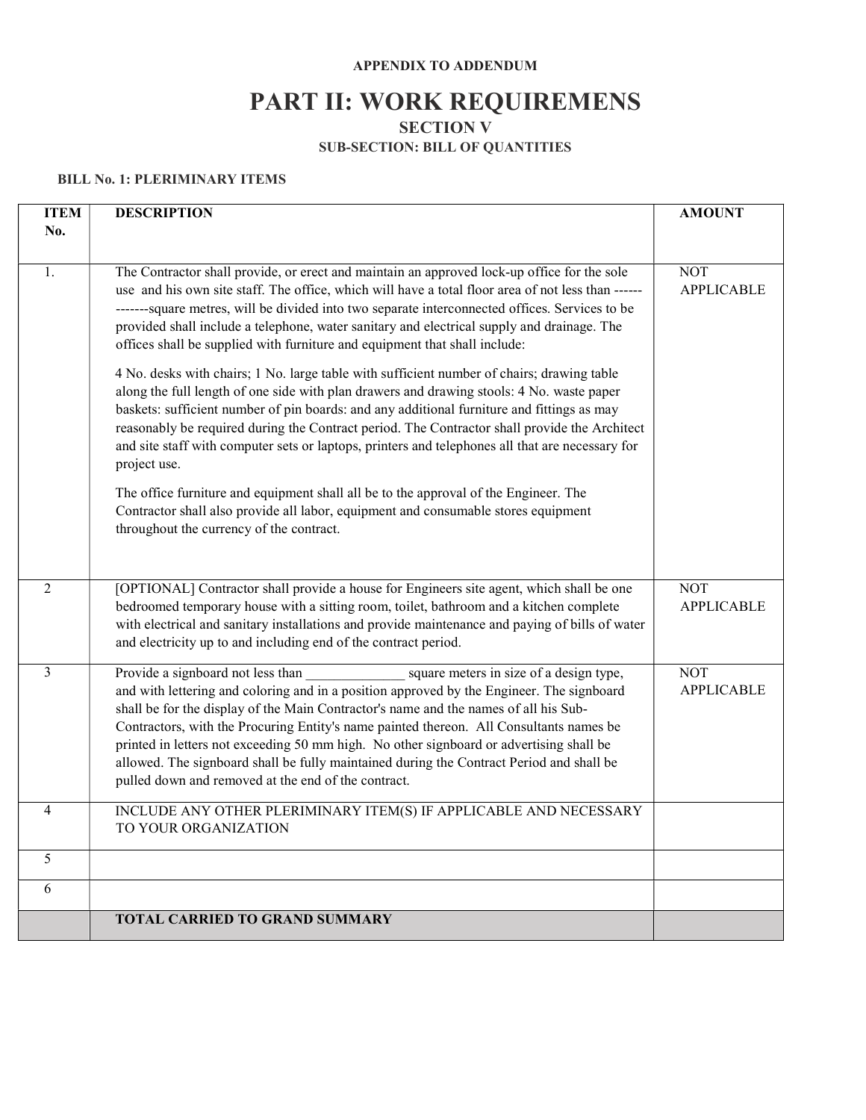#### APPENDIX TO ADDENDUM

# PART II: WORK REQUIREMENS

SECTION V

### SUB-SECTION: BILL OF QUANTITIES

#### BILL No. 1: PLERIMINARY ITEMS

| <b>ITEM</b> | <b>DESCRIPTION</b>                                                                                                                                                                                                                                                                                                                                                                                                                                                                                                                                                                                                                                                                                                                                                                                                                                                                                                                                                                                                                                                                                                                                                          | <b>AMOUNT</b>                   |
|-------------|-----------------------------------------------------------------------------------------------------------------------------------------------------------------------------------------------------------------------------------------------------------------------------------------------------------------------------------------------------------------------------------------------------------------------------------------------------------------------------------------------------------------------------------------------------------------------------------------------------------------------------------------------------------------------------------------------------------------------------------------------------------------------------------------------------------------------------------------------------------------------------------------------------------------------------------------------------------------------------------------------------------------------------------------------------------------------------------------------------------------------------------------------------------------------------|---------------------------------|
| No.         |                                                                                                                                                                                                                                                                                                                                                                                                                                                                                                                                                                                                                                                                                                                                                                                                                                                                                                                                                                                                                                                                                                                                                                             |                                 |
| 1.          | The Contractor shall provide, or erect and maintain an approved lock-up office for the sole<br>use and his own site staff. The office, which will have a total floor area of not less than ------<br>-------square metres, will be divided into two separate interconnected offices. Services to be<br>provided shall include a telephone, water sanitary and electrical supply and drainage. The<br>offices shall be supplied with furniture and equipment that shall include:<br>4 No. desks with chairs; 1 No. large table with sufficient number of chairs; drawing table<br>along the full length of one side with plan drawers and drawing stools: 4 No. waste paper<br>baskets: sufficient number of pin boards: and any additional furniture and fittings as may<br>reasonably be required during the Contract period. The Contractor shall provide the Architect<br>and site staff with computer sets or laptops, printers and telephones all that are necessary for<br>project use.<br>The office furniture and equipment shall all be to the approval of the Engineer. The<br>Contractor shall also provide all labor, equipment and consumable stores equipment | <b>NOT</b><br><b>APPLICABLE</b> |
| 2           | throughout the currency of the contract.<br>[OPTIONAL] Contractor shall provide a house for Engineers site agent, which shall be one<br>bedroomed temporary house with a sitting room, toilet, bathroom and a kitchen complete                                                                                                                                                                                                                                                                                                                                                                                                                                                                                                                                                                                                                                                                                                                                                                                                                                                                                                                                              | <b>NOT</b><br><b>APPLICABLE</b> |
|             | with electrical and sanitary installations and provide maintenance and paying of bills of water<br>and electricity up to and including end of the contract period.                                                                                                                                                                                                                                                                                                                                                                                                                                                                                                                                                                                                                                                                                                                                                                                                                                                                                                                                                                                                          |                                 |
| 3           | Provide a signboard not less than<br>square meters in size of a design type,<br>and with lettering and coloring and in a position approved by the Engineer. The signboard<br>shall be for the display of the Main Contractor's name and the names of all his Sub-<br>Contractors, with the Procuring Entity's name painted thereon. All Consultants names be<br>printed in letters not exceeding 50 mm high. No other signboard or advertising shall be<br>allowed. The signboard shall be fully maintained during the Contract Period and shall be<br>pulled down and removed at the end of the contract.                                                                                                                                                                                                                                                                                                                                                                                                                                                                                                                                                                  | <b>NOT</b><br><b>APPLICABLE</b> |
| 4           | INCLUDE ANY OTHER PLERIMINARY ITEM(S) IF APPLICABLE AND NECESSARY<br>TO YOUR ORGANIZATION                                                                                                                                                                                                                                                                                                                                                                                                                                                                                                                                                                                                                                                                                                                                                                                                                                                                                                                                                                                                                                                                                   |                                 |
| 5           |                                                                                                                                                                                                                                                                                                                                                                                                                                                                                                                                                                                                                                                                                                                                                                                                                                                                                                                                                                                                                                                                                                                                                                             |                                 |
| 6           |                                                                                                                                                                                                                                                                                                                                                                                                                                                                                                                                                                                                                                                                                                                                                                                                                                                                                                                                                                                                                                                                                                                                                                             |                                 |
|             | <b>TOTAL CARRIED TO GRAND SUMMARY</b>                                                                                                                                                                                                                                                                                                                                                                                                                                                                                                                                                                                                                                                                                                                                                                                                                                                                                                                                                                                                                                                                                                                                       |                                 |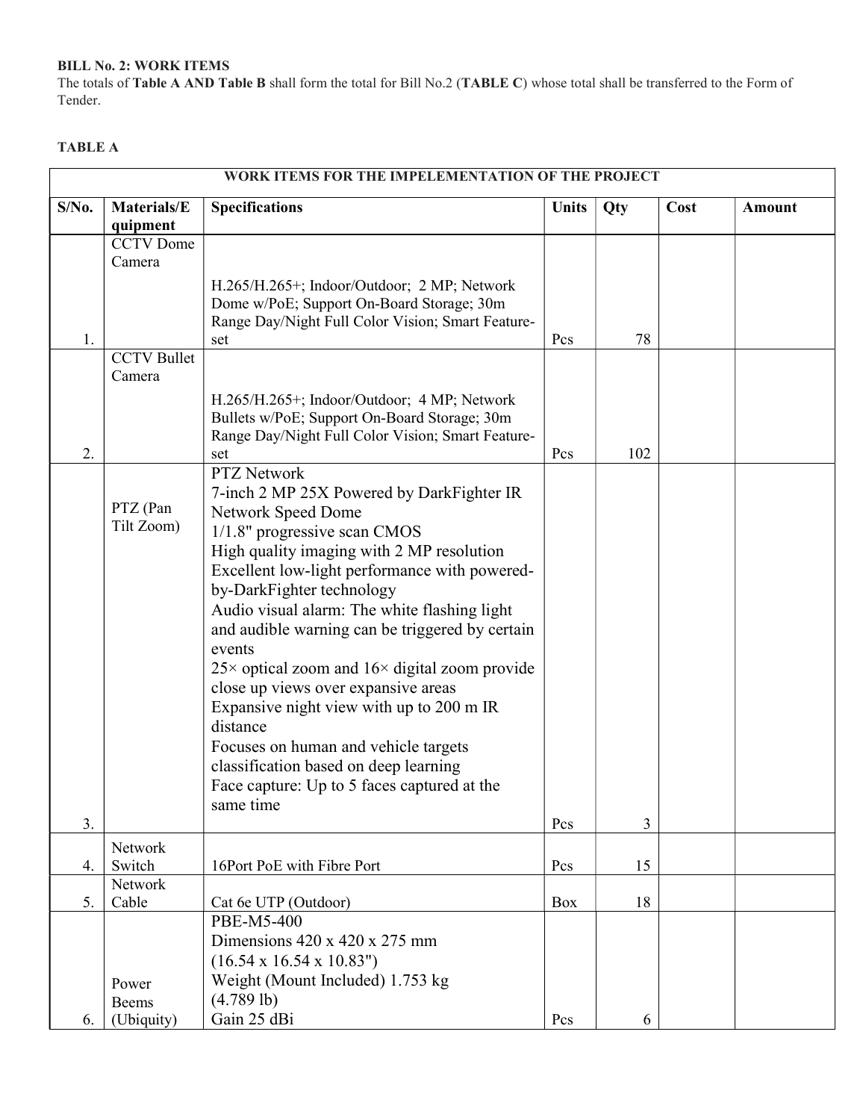#### BILL No. 2: WORK ITEMS

The totals of Table A AND Table B shall form the total for Bill No.2 (TABLE C) whose total shall be transferred to the Form of Tender.

#### TABLE A

| WORK ITEMS FOR THE IMPELEMENTATION OF THE PROJECT |                         |                                                                                                    |              |            |      |               |
|---------------------------------------------------|-------------------------|----------------------------------------------------------------------------------------------------|--------------|------------|------|---------------|
| $S/N0$ .                                          | Materials/E<br>quipment | <b>Specifications</b>                                                                              | <b>Units</b> | <b>Qty</b> | Cost | <b>Amount</b> |
|                                                   | <b>CCTV</b> Dome        |                                                                                                    |              |            |      |               |
|                                                   | Camera                  |                                                                                                    |              |            |      |               |
|                                                   |                         | H.265/H.265+; Indoor/Outdoor; 2 MP; Network                                                        |              |            |      |               |
|                                                   |                         | Dome w/PoE; Support On-Board Storage; 30m                                                          |              |            |      |               |
|                                                   |                         | Range Day/Night Full Color Vision; Smart Feature-                                                  |              |            |      |               |
| 1.                                                |                         | set                                                                                                | Pcs          | 78         |      |               |
|                                                   | <b>CCTV</b> Bullet      |                                                                                                    |              |            |      |               |
|                                                   | Camera                  |                                                                                                    |              |            |      |               |
|                                                   |                         | H.265/H.265+; Indoor/Outdoor; 4 MP; Network                                                        |              |            |      |               |
|                                                   |                         | Bullets w/PoE; Support On-Board Storage; 30m                                                       |              |            |      |               |
|                                                   |                         | Range Day/Night Full Color Vision; Smart Feature-                                                  |              |            |      |               |
| 2.                                                |                         | set                                                                                                | Pcs          | 102        |      |               |
|                                                   |                         | <b>PTZ Network</b>                                                                                 |              |            |      |               |
|                                                   | PTZ (Pan                | 7-inch 2 MP 25X Powered by DarkFighter IR                                                          |              |            |      |               |
|                                                   | Tilt Zoom)              | Network Speed Dome                                                                                 |              |            |      |               |
|                                                   |                         | $1/1.8$ " progressive scan CMOS                                                                    |              |            |      |               |
|                                                   |                         | High quality imaging with 2 MP resolution                                                          |              |            |      |               |
|                                                   |                         | Excellent low-light performance with powered-                                                      |              |            |      |               |
|                                                   |                         | by-DarkFighter technology                                                                          |              |            |      |               |
|                                                   |                         | Audio visual alarm: The white flashing light                                                       |              |            |      |               |
|                                                   |                         | and audible warning can be triggered by certain                                                    |              |            |      |               |
|                                                   |                         | events                                                                                             |              |            |      |               |
|                                                   |                         | $25\times$ optical zoom and $16\times$ digital zoom provide<br>close up views over expansive areas |              |            |      |               |
|                                                   |                         | Expansive night view with up to 200 m IR                                                           |              |            |      |               |
|                                                   |                         | distance                                                                                           |              |            |      |               |
|                                                   |                         | Focuses on human and vehicle targets                                                               |              |            |      |               |
|                                                   |                         | classification based on deep learning                                                              |              |            |      |               |
|                                                   |                         | Face capture: Up to 5 faces captured at the                                                        |              |            |      |               |
|                                                   |                         | same time                                                                                          |              |            |      |               |
| 3.                                                |                         |                                                                                                    | Pcs          | 3          |      |               |
|                                                   | Network                 |                                                                                                    |              |            |      |               |
| 4.                                                | Switch                  | 16Port PoE with Fibre Port                                                                         | Pcs          | 15         |      |               |
|                                                   | Network                 |                                                                                                    |              |            |      |               |
| 5.                                                | Cable                   | Cat 6e UTP (Outdoor)                                                                               | Box          | 18         |      |               |
|                                                   |                         | PBE-M5-400                                                                                         |              |            |      |               |
|                                                   |                         | Dimensions $420 \times 420 \times 275$ mm                                                          |              |            |      |               |
|                                                   |                         | $(16.54 \times 16.54 \times 10.83")$                                                               |              |            |      |               |
|                                                   | Power                   | Weight (Mount Included) 1.753 kg                                                                   |              |            |      |               |
|                                                   | Beems                   | $(4.789$ lb)                                                                                       |              |            |      |               |
| 6.                                                | (Ubiquity)              | Gain 25 dBi                                                                                        | Pcs          | 6          |      |               |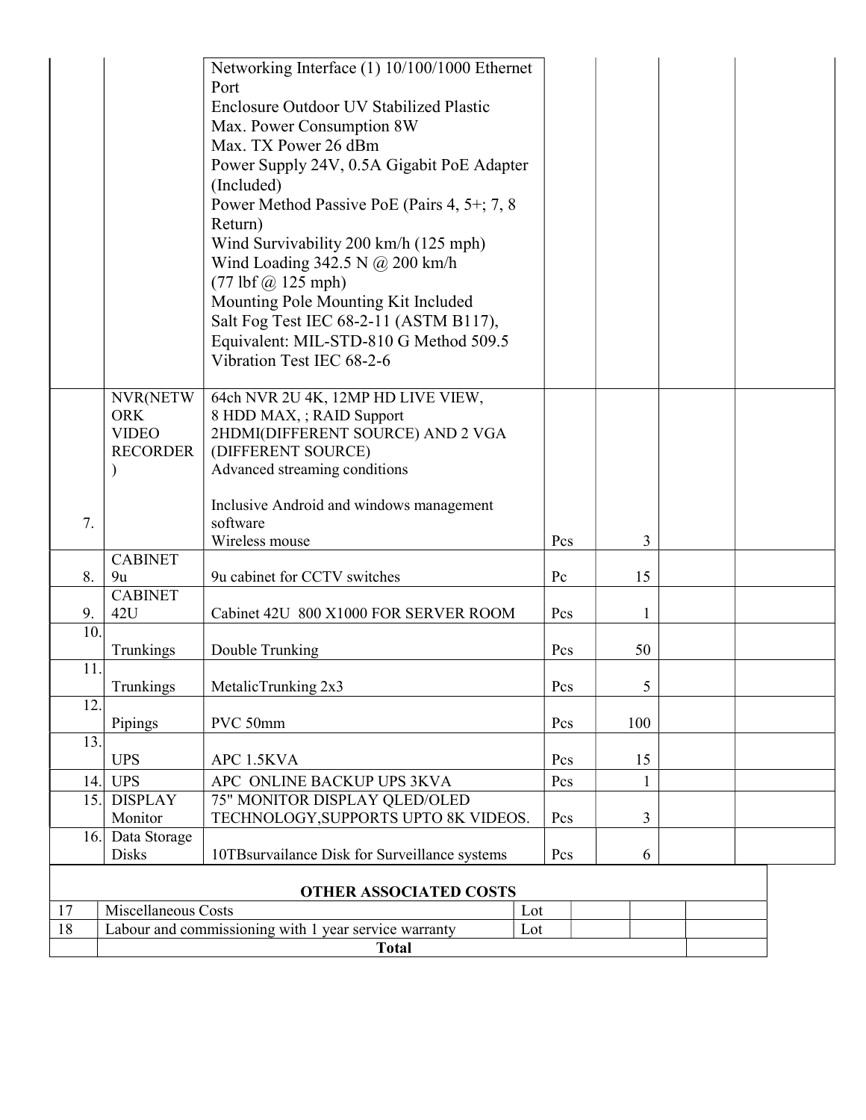|                               |                                         | Networking Interface (1) 10/100/1000 Ethernet<br>Port               |          |     |  |  |
|-------------------------------|-----------------------------------------|---------------------------------------------------------------------|----------|-----|--|--|
|                               | Enclosure Outdoor UV Stabilized Plastic |                                                                     |          |     |  |  |
|                               | Max. Power Consumption 8W               |                                                                     |          |     |  |  |
|                               |                                         | Max. TX Power 26 dBm                                                |          |     |  |  |
|                               |                                         | Power Supply 24V, 0.5A Gigabit PoE Adapter                          |          |     |  |  |
|                               |                                         | (Included)                                                          |          |     |  |  |
|                               |                                         | Power Method Passive PoE (Pairs 4, 5+; 7, 8                         |          |     |  |  |
|                               |                                         | Return)                                                             |          |     |  |  |
|                               |                                         | Wind Survivability 200 km/h (125 mph)                               |          |     |  |  |
|                               |                                         | Wind Loading 342.5 N @ 200 km/h                                     |          |     |  |  |
|                               |                                         | $(77 \text{ lbf } (\text{\textdegreeled{a}} 125 \text{ mph})$       |          |     |  |  |
|                               |                                         | Mounting Pole Mounting Kit Included                                 |          |     |  |  |
|                               |                                         | Salt Fog Test IEC 68-2-11 (ASTM B117),                              |          |     |  |  |
|                               |                                         | Equivalent: MIL-STD-810 G Method 509.5<br>Vibration Test IEC 68-2-6 |          |     |  |  |
|                               |                                         |                                                                     |          |     |  |  |
|                               | NVR(NETW                                | 64ch NVR 2U 4K, 12MP HD LIVE VIEW,                                  |          |     |  |  |
|                               | <b>ORK</b>                              | 8 HDD MAX, ; RAID Support                                           |          |     |  |  |
|                               | <b>VIDEO</b><br><b>RECORDER</b>         | 2HDMI(DIFFERENT SOURCE) AND 2 VGA                                   |          |     |  |  |
|                               |                                         | (DIFFERENT SOURCE)<br>Advanced streaming conditions                 |          |     |  |  |
|                               |                                         |                                                                     |          |     |  |  |
|                               |                                         | Inclusive Android and windows management                            |          |     |  |  |
| 7.                            |                                         | software<br>Wireless mouse                                          | Pcs      | 3   |  |  |
|                               | <b>CABINET</b>                          |                                                                     |          |     |  |  |
| 8.                            | 9u                                      | 9u cabinet for CCTV switches                                        | Pc       | 15  |  |  |
| 9.                            | <b>CABINET</b><br>42U                   |                                                                     | Pcs      |     |  |  |
| 10.                           |                                         | Cabinet 42U 800 X1000 FOR SERVER ROOM                               |          | 1   |  |  |
|                               | Trunkings                               | Double Trunking                                                     | Pcs      | 50  |  |  |
| 11.                           | Trunkings                               | MetalicTrunking 2x3                                                 | Pcs      | 5   |  |  |
| 12.                           |                                         |                                                                     |          |     |  |  |
|                               | Pipings                                 | PVC 50mm                                                            | Pcs      | 100 |  |  |
| 13.                           | <b>UPS</b>                              | APC 1.5KVA                                                          | Pcs      | 15  |  |  |
| 14.                           | <b>UPS</b>                              | APC ONLINE BACKUP UPS 3KVA                                          |          | 1   |  |  |
| 15.                           | <b>DISPLAY</b>                          | 75" MONITOR DISPLAY QLED/OLED                                       |          |     |  |  |
|                               | Monitor                                 | TECHNOLOGY, SUPPORTS UPTO 8K VIDEOS.                                | 3<br>Pcs |     |  |  |
| 16.                           | Data Storage                            |                                                                     |          | 6   |  |  |
|                               | <b>Disks</b>                            | 10TBsurvailance Disk for Surveillance systems                       | Pcs      |     |  |  |
| <b>OTHER ASSOCIATED COSTS</b> |                                         |                                                                     |          |     |  |  |
| 17                            | Miscellaneous Costs<br>Lot              |                                                                     |          |     |  |  |
| 18                            |                                         | Labour and commissioning with 1 year service warranty<br>Lot        |          |     |  |  |
| <b>Total</b>                  |                                         |                                                                     |          |     |  |  |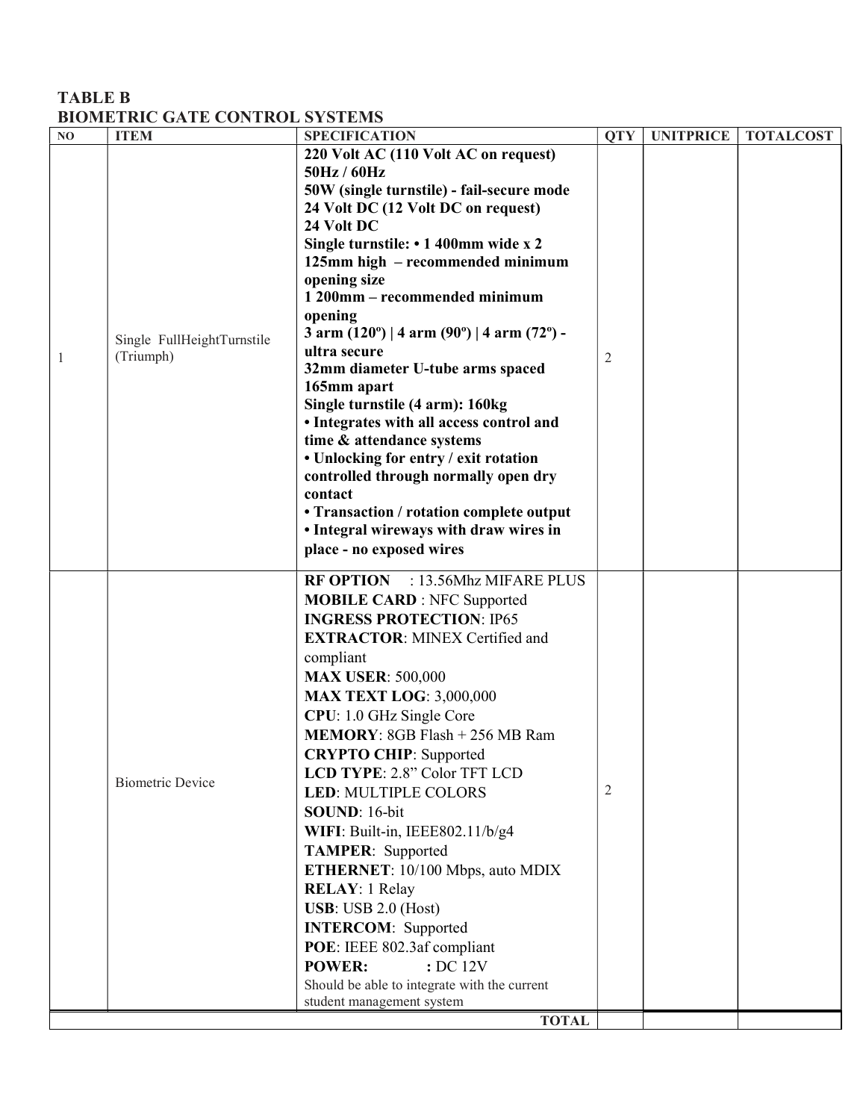### TABLE B BIOMETRIC GATE CONTROL SYSTEMS

| NO | <b>ITEM</b>                | <b>SPECIFICATION</b>                                                  | <b>QTY</b> | <b>UNITPRICE</b> | <b>TOTALCOST</b> |
|----|----------------------------|-----------------------------------------------------------------------|------------|------------------|------------------|
|    |                            | 220 Volt AC (110 Volt AC on request)<br>50Hz / 60Hz                   |            |                  |                  |
|    |                            | 50W (single turnstile) - fail-secure mode                             |            |                  |                  |
|    |                            | 24 Volt DC (12 Volt DC on request)                                    |            |                  |                  |
|    |                            | 24 Volt DC                                                            |            |                  |                  |
|    |                            | Single turnstile: • 1 400mm wide x 2                                  |            |                  |                  |
|    |                            | 125mm high - recommended minimum                                      |            |                  |                  |
|    |                            | opening size                                                          |            |                  |                  |
|    |                            | 1 200mm - recommended minimum                                         |            |                  |                  |
|    |                            | opening                                                               |            |                  |                  |
|    | Single FullHeightTurnstile | 3 arm $(120^{\circ})$   4 arm $(90^{\circ})$   4 arm $(72^{\circ})$ - |            |                  |                  |
| 1  | (Triumph)                  | ultra secure<br>32mm diameter U-tube arms spaced                      | 2          |                  |                  |
|    |                            | 165mm apart                                                           |            |                  |                  |
|    |                            | Single turnstile (4 arm): 160kg                                       |            |                  |                  |
|    |                            | • Integrates with all access control and                              |            |                  |                  |
|    |                            | time & attendance systems                                             |            |                  |                  |
|    |                            | • Unlocking for entry / exit rotation                                 |            |                  |                  |
|    |                            | controlled through normally open dry                                  |            |                  |                  |
|    |                            | contact<br>• Transaction / rotation complete output                   |            |                  |                  |
|    |                            | • Integral wireways with draw wires in                                |            |                  |                  |
|    |                            | place - no exposed wires                                              |            |                  |                  |
|    |                            | RF OPTION : 13.56Mhz MIFARE PLUS                                      |            |                  |                  |
|    |                            | <b>MOBILE CARD: NFC Supported</b>                                     |            |                  |                  |
|    |                            | <b>INGRESS PROTECTION: IP65</b>                                       |            |                  |                  |
|    |                            | <b>EXTRACTOR: MINEX Certified and</b>                                 |            |                  |                  |
|    |                            | compliant                                                             |            |                  |                  |
|    |                            | <b>MAX USER: 500,000</b>                                              |            |                  |                  |
|    |                            | <b>MAX TEXT LOG: 3,000,000</b>                                        |            |                  |                  |
|    |                            | CPU: 1.0 GHz Single Core                                              |            |                  |                  |
|    |                            | MEMORY: 8GB Flash + 256 MB Ram                                        |            |                  |                  |
|    |                            | <b>CRYPTO CHIP:</b> Supported                                         |            |                  |                  |
|    | <b>Biometric Device</b>    | LCD TYPE: 2.8" Color TFT LCD                                          |            |                  |                  |
|    |                            | <b>LED: MULTIPLE COLORS</b>                                           | 2          |                  |                  |
|    |                            | SOUND: 16-bit                                                         |            |                  |                  |
|    |                            | WIFI: Built-in, IEEE802.11/b/g4                                       |            |                  |                  |
|    |                            | TAMPER: Supported<br>ETHERNET: 10/100 Mbps, auto MDIX                 |            |                  |                  |
|    |                            | <b>RELAY</b> : 1 Relay                                                |            |                  |                  |
|    |                            | <b>USB</b> : USB 2.0 (Host)                                           |            |                  |                  |
|    |                            | <b>INTERCOM:</b> Supported                                            |            |                  |                  |
|    |                            | POE: IEEE 802.3af compliant                                           |            |                  |                  |
|    |                            | <b>POWER:</b><br>: DC 12V                                             |            |                  |                  |
|    |                            | Should be able to integrate with the current                          |            |                  |                  |
|    |                            | student management system                                             |            |                  |                  |
|    |                            | <b>TOTAL</b>                                                          |            |                  |                  |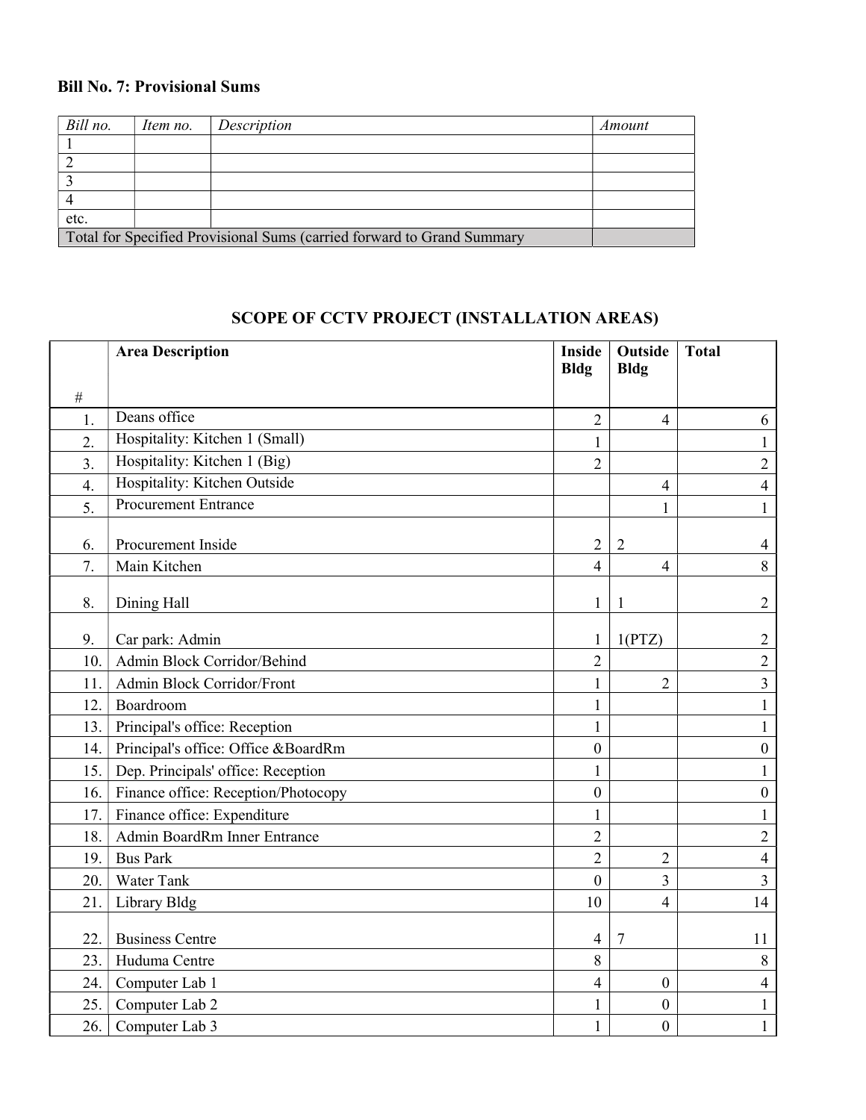### Bill No. 7: Provisional Sums

| Bill no.                                                               | Item no. | Description | Amount |  |
|------------------------------------------------------------------------|----------|-------------|--------|--|
|                                                                        |          |             |        |  |
|                                                                        |          |             |        |  |
|                                                                        |          |             |        |  |
|                                                                        |          |             |        |  |
| etc.                                                                   |          |             |        |  |
| Total for Specified Provisional Sums (carried forward to Grand Summary |          |             |        |  |

# SCOPE OF CCTV PROJECT (INSTALLATION AREAS)

|                  | <b>Area Description</b>             | <b>Inside</b><br><b>Bldg</b> | Outside<br><b>Bldg</b> | <b>Total</b>     |
|------------------|-------------------------------------|------------------------------|------------------------|------------------|
| $\#$             |                                     |                              |                        |                  |
| 1.               | Deans office                        | $\overline{2}$               | $\overline{4}$         | 6                |
| $\overline{2}$ . | Hospitality: Kitchen 1 (Small)      | $\mathbf{1}$                 |                        | $\mathbf{1}$     |
| $\overline{3}$ . | Hospitality: Kitchen 1 (Big)        | $\overline{2}$               |                        | $\overline{2}$   |
| 4.               | Hospitality: Kitchen Outside        |                              | $\overline{4}$         | $\overline{4}$   |
| 5.               | <b>Procurement Entrance</b>         |                              | $\mathbf{1}$           | $\mathbf{1}$     |
| 6.               | Procurement Inside                  | $\overline{2}$               | $\overline{2}$         | $\overline{4}$   |
| 7.               | Main Kitchen                        | $\overline{4}$               | $\overline{4}$         | 8                |
| 8.               | Dining Hall                         | $\mathbf{1}$                 |                        | $\overline{2}$   |
| 9.               | Car park: Admin                     | $\mathbf{1}$                 | 1(PTZ)                 | $\overline{2}$   |
| 10.              | Admin Block Corridor/Behind         | $\overline{2}$               |                        | $\overline{2}$   |
| 11.              | Admin Block Corridor/Front          | $\mathbf{1}$                 | $\overline{2}$         | $\overline{3}$   |
| 12.              | Boardroom                           | $\mathbf{1}$                 |                        | $\mathbf{1}$     |
| 13.              | Principal's office: Reception       | $\mathbf{1}$                 |                        | $\mathbf{1}$     |
| 14.              | Principal's office: Office &BoardRm | $\boldsymbol{0}$             |                        | $\boldsymbol{0}$ |
| 15.              | Dep. Principals' office: Reception  | $\mathbf{1}$                 |                        | $\mathbf{1}$     |
| 16.              | Finance office: Reception/Photocopy | $\boldsymbol{0}$             |                        | $\boldsymbol{0}$ |
| 17.              | Finance office: Expenditure         | $\mathbf{1}$                 |                        | $\mathbf{1}$     |
| 18.              | Admin BoardRm Inner Entrance        | $\overline{2}$               |                        | $\overline{2}$   |
| 19.              | <b>Bus Park</b>                     | $\overline{2}$               | $\overline{2}$         | $\overline{4}$   |
| 20.              | Water Tank                          | $\boldsymbol{0}$             | $\overline{3}$         | $\overline{3}$   |
| 21.              | Library Bldg                        | 10                           | $\overline{4}$         | 14               |
| 22.              | <b>Business Centre</b>              | $\overline{4}$               | 7                      | 11               |
| 23.              | Huduma Centre                       | 8                            |                        | $\,8\,$          |
| 24.              | Computer Lab 1                      | $\overline{4}$               | $\mathbf{0}$           | $\overline{4}$   |
| 25.              | Computer Lab 2                      | $\mathbf{1}$                 | $\overline{0}$         | $\mathbf{1}$     |
| 26.              | Computer Lab 3                      | $\mathbf{1}$                 | $\boldsymbol{0}$       | $\mathbf{1}$     |